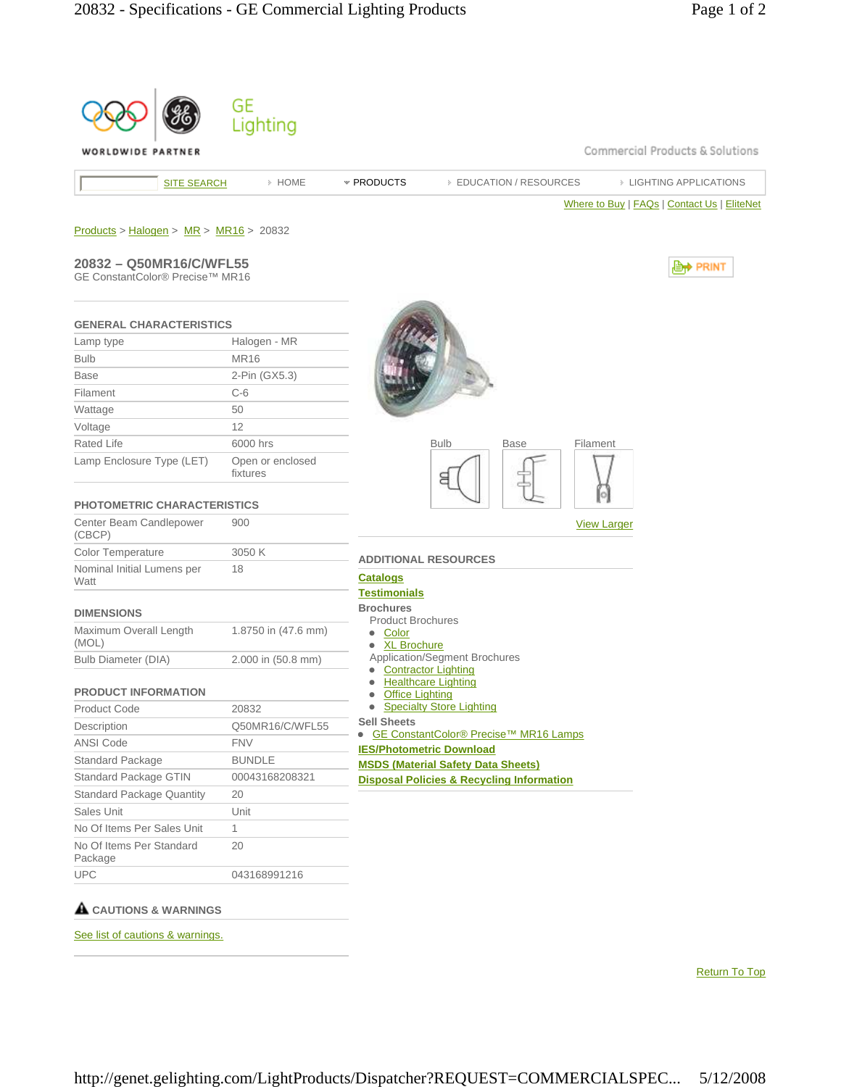| WORLDWIDE PARTNER                        |                              | Commercial Products & Solutions                                            |
|------------------------------------------|------------------------------|----------------------------------------------------------------------------|
| <b>SITE SEARCH</b>                       | » HOME                       | <b>EIGHTING APPLICATIONS</b><br>* PRODUCTS<br><b>EDUCATION / RESOURCES</b> |
|                                          |                              | Where to Buy   FAQs   Contact Us   EliteNet                                |
| $Products > Halogen > MR > MR16 > 20832$ |                              |                                                                            |
| 20832 - Q50MR16/C/WFL55                  |                              | , <b>Lett</b> PRINT                                                        |
| GE ConstantColor® Precise™ MR16          |                              |                                                                            |
| <b>GENERAL CHARACTERISTICS</b>           |                              |                                                                            |
| Lamp type                                | Halogen - MR                 |                                                                            |
| <b>Bulb</b>                              | <b>MR16</b>                  |                                                                            |
| <b>Base</b>                              | 2-Pin (GX5.3)                |                                                                            |
| Filament                                 | $C-6$                        |                                                                            |
| Wattage                                  | 50                           |                                                                            |
| Voltage                                  | 12                           |                                                                            |
| Rated Life                               | 6000 hrs                     | <b>Bulb</b><br><b>Base</b><br>Filament                                     |
| Lamp Enclosure Type (LET)                | Open or enclosed<br>fixtures | Я                                                                          |
| <b>PHOTOMETRIC CHARACTERISTICS</b>       |                              |                                                                            |
| Center Beam Candlepower<br>(CBCP)        | 900                          | <b>View Larger</b>                                                         |
| Color Temperature                        | 3050 K                       | <b>ADDITIONAL RESOURCES</b>                                                |
| Nominal Initial Lumens per<br>Watt       | 18                           | <b>Catalogs</b>                                                            |
|                                          |                              | <b>Testimonials</b><br><b>Brochures</b>                                    |
| <b>DIMENSIONS</b>                        |                              | <b>Product Brochures</b>                                                   |
| Maximum Overall Length<br>(MOL)          | 1.8750 in (47.6 mm)          | • Color<br>• XL Brochure                                                   |
| Bulb Diameter (DIA)                      | 2.000 in (50.8 mm)           | Application/Segment Brochures<br><b>Contractor Lighting</b>                |
| <b>PRODUCT INFORMATION</b>               |                              | <b>Healthcare Lighting</b><br>$\bullet$<br>• Office Lighting               |
| <b>Product Code</b>                      | 20832                        | • Specialty Store Lighting                                                 |
| Description                              | Q50MR16/C/WFL55              | <b>Sell Sheets</b><br>GE ConstantColor® Precise™ MR16 Lamps                |
| ANSI Code                                | <b>FNV</b>                   | <b>IES/Photometric Download</b>                                            |
| Standard Package                         | <b>BUNDLE</b>                | <b>MSDS (Material Safety Data Sheets)</b>                                  |
| Standard Package GTIN                    | 00043168208321               | <b>Disposal Policies &amp; Recycling Information</b>                       |
| <b>Standard Package Quantity</b>         | 20                           |                                                                            |
| Sales Unit                               | Unit                         |                                                                            |
| No Of Items Per Sales Unit               | $\mathbf{1}$                 |                                                                            |
| No Of Items Per Standard<br>Package      | 20                           |                                                                            |
| <b>UPC</b>                               |                              |                                                                            |

Return To Top